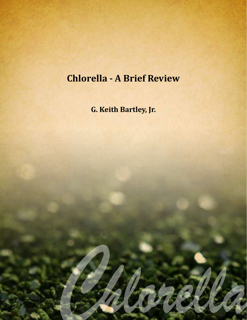# **Chlorella - A Brief Review**

**G. Keith Bartley, Jr.**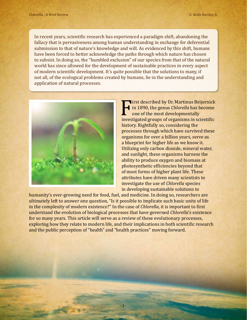In recent years, scientific research has experienced a paradigm shift, abandoning the fallacy that is pervasiveness among human understanding in exchange for deferential submission to that of nature's knowledge and will. As evidenced by this shift, humans have been forced to better acknowledge the paths through which nature has chosen to subsist. In doing so, the "humbled exclusion" of our species from that of the natural world has since allowed for the development of sustainable practices in every aspect of modern scientific development. It's quite possible that the solutions to many, if not all, of the ecological problems created by humans, lie in the understanding and application of natural processes.



First described by Dr. Martinus Beijernick<br>
in 1890, the genus *Chlorella* has become<br>
one of the most developmentally<br>
investigated groups of organisms in scientific<br>
history Bightfully so considering the in 1890, the genus *Chlorella* has become one of the most developmentally history. Rightfully so, considering the processes through which have survived these organisms for over a billion years, serve as a blueprint for higher life as we know it. Utilizing only carbon dioxide, mineral water, and sunlight, these organisms harness the ability to produce oxygen and biomass at photosynthetic efficiencies beyond that of most forms of higher plant life. These attributes have driven many scientists to investigate the use of *Chlorella* species in developing sustainable solutions to

humanity's ever-growing need for food, fuel, and medicine. In doing so, researchers are ultimately left to answer one question, "Is it possible to implicate such basic units of life in the complexity of modern existence?" In the case of *Chlorella*, it is important to first understand the evolution of biological processes that have governed *Chlorella*'s existence for so many years. This article will serve as a review of these evolutionary processes, exploring how they relate to modern life, and their implications in both scientific research and the public perception of "health" and "health practices" moving forward.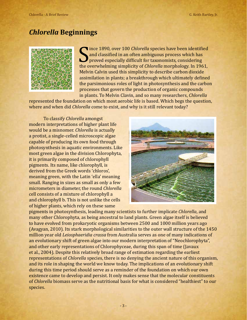## *Chlorella* **Beginnings**



and classified in an often ambiguous process which has<br>proved especially difficult for taxonomists, considering<br>the overwhelming simplicity of *Chlorella* morphology. In 1961,<br>Makin Cakin was this simplicity to describe sa ince 1890, over 100 *Chlorella* species have been identified and classified in an often ambiguous process which has **P** proved especially difficult for taxonomists, considering Melvin Calvin used this simplicity to describe carbon dioxide assimilation in plants; a breakthrough which ultimately defined the parsimonious roles of light in photosynthesis and the carbon processes that govern the production of organic compounds in plants. To Melvin Clavin, and so many researchers, *Chlorella*

represented the foundation on which most aerobic life is based. Which begs the question, where and when did *Chlorella* come to exist, and why is it still relevant today?

To classify *Chlorella* amongst modern interpretations of higher plant life would be a misnomer. *Chlorella* is actually a protist, a single-celled microscopic algae capable of producing its own food through photosynthesis in aquatic environments. Like most green algae in the division Chlorophyta, it is primarily composed of chlorophyll pigments. Its name, like chlorophyll, is derived from the Greek words 'chloros', meaning green, with the Latin 'ella' meaning small. Ranging in sizes as small as only a few micrometers in diameter, the round *Chlorella* cell consists of a mixture of chlorophyll a and chlorophyll b. This is not unlike the cells of higher plants, which rely on these same



pigments in photosynthesis, leading many scientists to further implicate *Chlorella*, and many other Chlorophyta, as being ancestral to land plants. Green algae itself is believed to have evolved from prokaryotic organisms between 2500 and 1000 million years ago (Avagyan, 2010). Its stark morphological similarities to the outer wall structure of the 1450 million year old *Leiosphaeridia crassa* from Australia serves as one of many indications of an evolutionary shift of green algae into our modern interpretation of "Neochlorophyta", and other early representations of Chlorophyceae, during this span of time (Javaux et al., 2004). Despite this relatively broad range of estimation regarding the earliest representations of *Chlorella* species, there is no denying the ancient nature of this organism, and its role in shaping the world we know today. The implications of an evolutionary shift during this time period should serve as a reminder of the foundation on which our own existence came to develop and persist. It only makes sense that the molecular constituents of *Chlorella* biomass serve as the nutritional basis for what is considered "healthiest" to our species.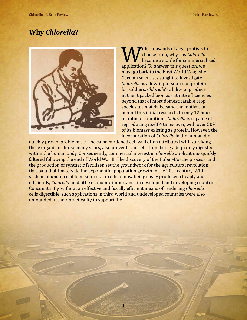## **Why** *Chlorella***?**



With thousands of algal protists to<br>
become a staple for commerciali:<br>
application? To answer this question, we<br>
wust go book to the Einst World War when choose from, why has *Chlorella* become a staple for commercialized must go back to the First World War, when German scientists sought to investigate *Chlorella* as a low-input source of protein for soldiers. *Chlorella*'s ability to produce nutrient packed biomass at rate efficiencies beyond that of most domesticatable crop species ultimately became the motivation behind this initial research. In only 12 hours of optimal conditions, *Chlorella* is capable of reproducing itself 4 times over, with over 50% of its biomass existing as protein. However, the incorporation of *Chlorella* in the human diet

quickly proved problematic. The same hardened cell wall often attributed with surviving these organisms for so many years, also prevents the cells from being adequately digested within the human body. Consequently, commercial interest in *Chlorella* applications quickly faltered following the end of World War II. The discovery of the Haber-Bosche process, and the production of synthetic fertilizer, set the groundwork for the agricultural revolution that would ultimately define exponential population growth in the 20th century. With such an abundance of food sources capable of now being easily produced cheaply and efficiently, *Chlorella* held little economic importance in developed and developing countries. Concomitantly, without an effective and fiscally efficient means of rendering *Chlorella* cells digestible, such applications in third world and undeveloped countries were also unfounded in their practicality to support life.

- 4 -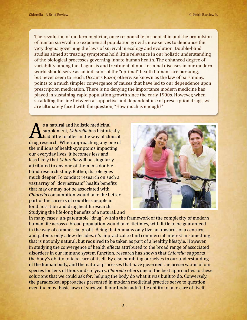The revolution of modern medicine, once responsible for penicillin and the propulsion of human survival into exponential population growth, now serves to denounce the very dogma governing the laws of survival in ecology and evolution. Double-blind studies aimed at treating symptoms hold little relevance in our holistic understanding of the biological processes governing innate human health. The enhanced degree of variability among the diagnosis and treatment of non-terminal diseases in our modern world should serve as an indicator of the "optimal" health humans are pursuing, but never seem to reach. Occam's Razor, otherwise known as the law of parsimony, points to a much simpler convergence of causes that have led to our dependence upon prescription medication. There is no denying the importance modern medicine has played in sustaining rapid population growth since the early 1900s. However, when straddling the line between a supportive and dependent use of prescription drugs, we are ultimately faced with the question, "How much is enough?"

s a natural and holistic medicinal<br>
supplement, *Chlorella* has historically<br>
drug research. When approaching any one of<br>
the millions of boolth sumptoms imposing supplement, *Chlorella* has historically had little to offer in the way of clinical the millions of health-symptoms impacting our everyday lives, it becomes less and less likely that *Chlorella* will be singularly attributed to any one of them in a doubleblind research study. Rather, its role goes much deeper. To conduct research on such a vast array of "downstream" health benefits that may or may not be associated with *Chlorella* consumption would take the better part of the careers of countless people in food nutrition and drug health research. Studying the life-long benefits of a natural, and



in many cases, un-patentable "drug", within the framework of the complexity of modern human life across a broad population would take lifetimes, with little to be guaranteed in the way of commercial profit. Being that humans only live an upwards of a century, and patents only a few decades, it's impractical to find commercial interest in something that is not only natural, but required to be taken as part of a healthy lifestyle. However, in studying the convergence of health effects attributed to the broad range of associated disorders in our immune system function, research has shown that *Chlorella* supports the body's ability to take care of itself. By also humbling ourselves in our understanding of the human body, and the natural processes that have governed the preservation of our species for tens of thousands of years, *Chlorella* offers one of the best approaches to these solutions that we could ask for: helping the body do what it was built to do. Conversely, the paradoxical approaches presented in modern medicinal practice serve to question even the most basic laws of survival. If our body hadn't the ability to take care of itself,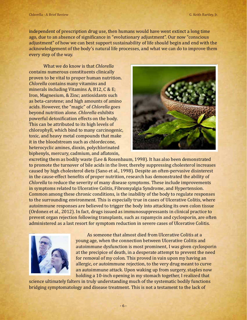independent of prescription drug use, then humans would have went extinct a long time ago, due to an absence of significance in "evolutionary adjustment". Our now "conscious adjustment" of how we can best support sustainability of life should begin and end with the acknowledgement of the body's natural life processes, and what we can do to improve them every step of the way.

What we do know is that *Chlorella* contains numerous constituents clinically proven to be vital to proper human nutrition. *Chlorella* contains many vitamins and minerals including Vitamins A, B12, C & E; Iron, Magnesium, & Zinc; antioxidants such as beta-carotene; and high amounts of amino acids. However, the "magic" of *Chlorella* goes beyond nutrition alone. *Chlorella* exhibits powerful detoxification effects on the body. This can be attributed to its high levels of chlorophyll, which bind to many carcinogenic, toxic, and heavy metal compounds that make it in the bloodstream such as chlordecone, heterocyclic amines, dioxin, polychlorinated biphenyls, mercury, cadmium, and aflatoxin,



excreting them as bodily waste (Lee & Rosenbaum, 1998). It has also been demonstrated to promote the turnover of bile acids in the liver, thereby suppressing cholesterol increases caused by high cholesterol diets (Sano et al., 1998). Despite an often-pervasive disinterest in the cause-effect benefits of proper nutrition, research has demonstrated the ability of *Chlorella* to reduce the severity of many disease symptoms. These include improvements in symptoms related to Ulcerative Colitis, Fibromyalgia Syndrome, and Hypertension. Common among these chronic conditions, is the inability of the body to regulate responses to the surrounding environment. This is especially true in cases of Ulcerative Colitis, where autoimmune responses are believed to trigger the body into attacking its own colon tissue (Ordonez et al., 2012). In fact, drugs issued as immunosuppressants in clinical practice to prevent organ rejection following transplants, such as rapamycin and cyclosporin, are often administered as a last resort for symptom reduction in severe cases of Ulcerative Colitis.



As someone that almost died from Ulcerative Colitis at a young age, when the connection between Ulcerative Colitis and autoimmune dysfunction is most prominent, I was given cyclosporin at the precipice of death, in a desperate attempt to prevent the need for removal of my colon. This proved in vain upon my having an allergic, or autoimmune rejection, to the very drug meant to curve an autoimmune attack. Upon waking up from surgery, staples now holding a 10-inch opening in my stomach together, I realized that

science ultimately falters in truly understanding much of the systematic bodily functions bridging symptomatology and disease treatment. This is not a testament to the lack of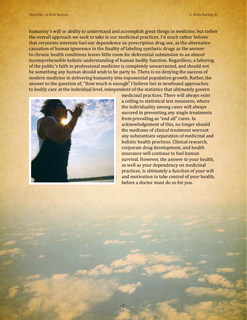humanity's will or ability to understand and accomplish great things in medicine, but rather the overall approach we seek to take in our medicinal practices. I'd much rather believe that corporate interests fuel our dependence on prescription drug use, as the alternative causation of human ignorance in the finality of labeling synthetic drugs as the answer to chronic health conditions leaves little room for deferential submission to an almost incomprehensible holistic understanding of human bodily function. Regardless, a faltering of the public's faith in professional medicine is completely unwarranted, and should not be something any human should wish to be party to. There is no denying the success of modern medicine in delivering humanity into exponential population growth. Rather, the answer to the question of, "How much is enough" I believe lies in newfound approaches to bodily care at the individual level, independent of the statistics that ultimately govern



medicinal practices. There will always exist a ceiling to statistical test measures, where the individuality among cases will always succeed in preventing any single treatments from prevailing as "end all" cures. In acknowledgement of this, no longer should the mediums of clinical treatment warrant any substantiate separation of medicinal and holistic health practices. Clinical research, corporate drug development, and health insurance will continue to fuel human survival. However, the answer to your health, as well as your dependency on medicinal practices, is ultimately a function of your will and motivation to take control of your health, before a doctor must do so for you.

- 7 -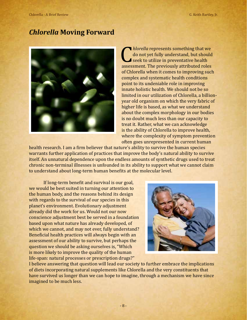#### *Chlorella* **Moving Forward**



*Chlorella* represents something that we do not yet fully understand, but should seek to utilize in preventative health assessment. The previously attributed roles do not yet fully understand, but should seek to utilize in preventative health of Chlorella when it comes to improving such complex and systematic health conditions point to its undeniable role in improving innate holistic health. We should not be so limited in our utilization of Chlorella, a billionyear old organism on which the very fabric of higher life is based, as what we understand about the complex morphology in our bodies is no doubt much less than our capacity to treat it. Rather, what we can acknowledge is the ability of Chlorella to improve health, where the complexity of symptom prevention often goes unrepresented in current human

health research. I am a firm believer that nature's ability to survive the human species warrants further application of practices that improve the body's natural ability to survive itself. An unnatural dependence upon the endless amounts of synthetic drugs used to treat chronic non-terminal illnesses is unfounded in its ability to support what we cannot claim to understand about long-term human benefits at the molecular level.

If long-term benefit and survival is our goal, we would be best suited in turning our attention to the human body, and the reasons behind its design with regards to the survival of our species in this planet's environment. Evolutionary adjustment already did the work for us. Would not our now conscience adjustment best be served in a foundation based upon what nature has already developed, of which we cannot, and may not ever, fully understand? Beneficial health practices will always begin with an assessment of our ability to survive, but perhaps the question we should be asking ourselves is, "Which is more likely to improve the quality of the human life-span: natural processes or prescription drugs?"



I believe answering that question will lead our society to further embrace the implications of diets incorporating natural supplements like Chlorella and the very constituents that have survived us longer than we can hope to imagine, through a mechanism we have since imagined to be much less.